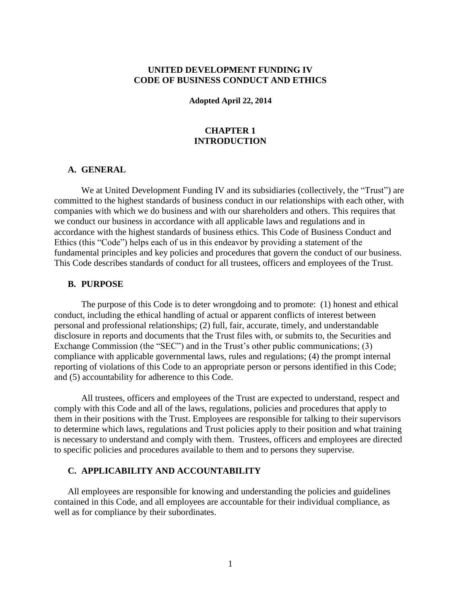# **UNITED DEVELOPMENT FUNDING IV CODE OF BUSINESS CONDUCT AND ETHICS**

#### **Adopted April 22, 2014**

### **CHAPTER 1 INTRODUCTION**

### **A. GENERAL**

We at United Development Funding IV and its subsidiaries (collectively, the "Trust") are committed to the highest standards of business conduct in our relationships with each other, with companies with which we do business and with our shareholders and others. This requires that we conduct our business in accordance with all applicable laws and regulations and in accordance with the highest standards of business ethics. This Code of Business Conduct and Ethics (this "Code") helps each of us in this endeavor by providing a statement of the fundamental principles and key policies and procedures that govern the conduct of our business. This Code describes standards of conduct for all trustees, officers and employees of the Trust.

#### **B. PURPOSE**

The purpose of this Code is to deter wrongdoing and to promote: (1) honest and ethical conduct, including the ethical handling of actual or apparent conflicts of interest between personal and professional relationships; (2) full, fair, accurate, timely, and understandable disclosure in reports and documents that the Trust files with, or submits to, the Securities and Exchange Commission (the "SEC") and in the Trust's other public communications; (3) compliance with applicable governmental laws, rules and regulations; (4) the prompt internal reporting of violations of this Code to an appropriate person or persons identified in this Code; and (5) accountability for adherence to this Code.

All trustees, officers and employees of the Trust are expected to understand, respect and comply with this Code and all of the laws, regulations, policies and procedures that apply to them in their positions with the Trust. Employees are responsible for talking to their supervisors to determine which laws, regulations and Trust policies apply to their position and what training is necessary to understand and comply with them. Trustees, officers and employees are directed to specific policies and procedures available to them and to persons they supervise.

#### **C. APPLICABILITY AND ACCOUNTABILITY**

All employees are responsible for knowing and understanding the policies and guidelines contained in this Code, and all employees are accountable for their individual compliance, as well as for compliance by their subordinates.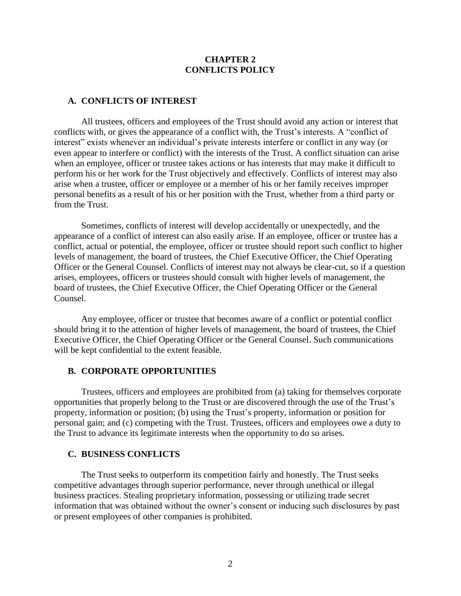## **CHAPTER 2 CONFLICTS POLICY**

### **A. CONFLICTS OF INTEREST**

All trustees, officers and employees of the Trust should avoid any action or interest that conflicts with, or gives the appearance of a conflict with, the Trust's interests. A "conflict of interest" exists whenever an individual's private interests interfere or conflict in any way (or even appear to interfere or conflict) with the interests of the Trust. A conflict situation can arise when an employee, officer or trustee takes actions or has interests that may make it difficult to perform his or her work for the Trust objectively and effectively. Conflicts of interest may also arise when a trustee, officer or employee or a member of his or her family receives improper personal benefits as a result of his or her position with the Trust, whether from a third party or from the Trust.

Sometimes, conflicts of interest will develop accidentally or unexpectedly, and the appearance of a conflict of interest can also easily arise. If an employee, officer or trustee has a conflict, actual or potential, the employee, officer or trustee should report such conflict to higher levels of management, the board of trustees, the Chief Executive Officer, the Chief Operating Officer or the General Counsel. Conflicts of interest may not always be clear-cut, so if a question arises, employees, officers or trustees should consult with higher levels of management, the board of trustees, the Chief Executive Officer, the Chief Operating Officer or the General Counsel.

Any employee, officer or trustee that becomes aware of a conflict or potential conflict should bring it to the attention of higher levels of management, the board of trustees, the Chief Executive Officer, the Chief Operating Officer or the General Counsel. Such communications will be kept confidential to the extent feasible.

#### **B. CORPORATE OPPORTUNITIES**

Trustees, officers and employees are prohibited from (a) taking for themselves corporate opportunities that properly belong to the Trust or are discovered through the use of the Trust's property, information or position; (b) using the Trust's property, information or position for personal gain; and (c) competing with the Trust. Trustees, officers and employees owe a duty to the Trust to advance its legitimate interests when the opportunity to do so arises.

#### **C. BUSINESS CONFLICTS**

The Trust seeks to outperform its competition fairly and honestly. The Trust seeks competitive advantages through superior performance, never through unethical or illegal business practices. Stealing proprietary information, possessing or utilizing trade secret information that was obtained without the owner's consent or inducing such disclosures by past or present employees of other companies is prohibited.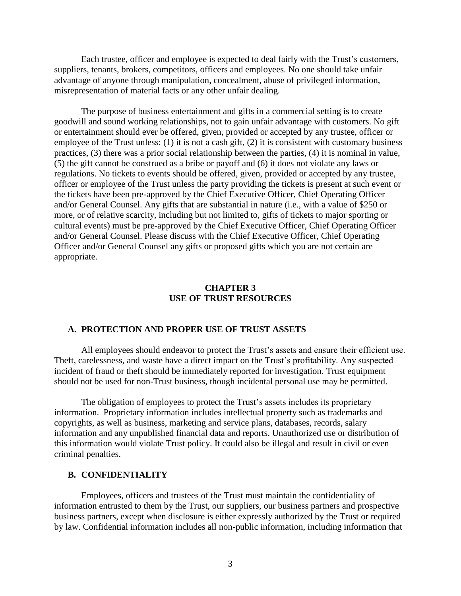Each trustee, officer and employee is expected to deal fairly with the Trust's customers, suppliers, tenants, brokers, competitors, officers and employees. No one should take unfair advantage of anyone through manipulation, concealment, abuse of privileged information, misrepresentation of material facts or any other unfair dealing.

The purpose of business entertainment and gifts in a commercial setting is to create goodwill and sound working relationships, not to gain unfair advantage with customers. No gift or entertainment should ever be offered, given, provided or accepted by any trustee, officer or employee of the Trust unless: (1) it is not a cash gift, (2) it is consistent with customary business practices, (3) there was a prior social relationship between the parties, (4) it is nominal in value, (5) the gift cannot be construed as a bribe or payoff and (6) it does not violate any laws or regulations. No tickets to events should be offered, given, provided or accepted by any trustee, officer or employee of the Trust unless the party providing the tickets is present at such event or the tickets have been pre-approved by the Chief Executive Officer, Chief Operating Officer and/or General Counsel. Any gifts that are substantial in nature (i.e., with a value of \$250 or more, or of relative scarcity, including but not limited to, gifts of tickets to major sporting or cultural events) must be pre-approved by the Chief Executive Officer, Chief Operating Officer and/or General Counsel. Please discuss with the Chief Executive Officer, Chief Operating Officer and/or General Counsel any gifts or proposed gifts which you are not certain are appropriate.

#### **CHAPTER 3 USE OF TRUST RESOURCES**

#### **A. PROTECTION AND PROPER USE OF TRUST ASSETS**

All employees should endeavor to protect the Trust's assets and ensure their efficient use. Theft, carelessness, and waste have a direct impact on the Trust's profitability. Any suspected incident of fraud or theft should be immediately reported for investigation. Trust equipment should not be used for non-Trust business, though incidental personal use may be permitted.

The obligation of employees to protect the Trust's assets includes its proprietary information. Proprietary information includes intellectual property such as trademarks and copyrights, as well as business, marketing and service plans, databases, records, salary information and any unpublished financial data and reports. Unauthorized use or distribution of this information would violate Trust policy. It could also be illegal and result in civil or even criminal penalties.

#### **B. CONFIDENTIALITY**

Employees, officers and trustees of the Trust must maintain the confidentiality of information entrusted to them by the Trust, our suppliers, our business partners and prospective business partners, except when disclosure is either expressly authorized by the Trust or required by law. Confidential information includes all non-public information, including information that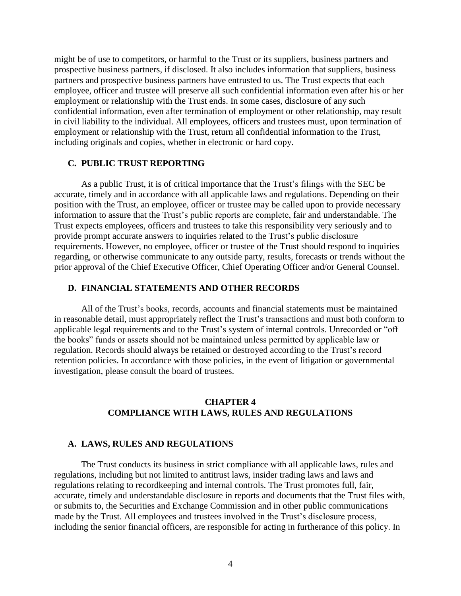might be of use to competitors, or harmful to the Trust or its suppliers, business partners and prospective business partners, if disclosed. It also includes information that suppliers, business partners and prospective business partners have entrusted to us. The Trust expects that each employee, officer and trustee will preserve all such confidential information even after his or her employment or relationship with the Trust ends. In some cases, disclosure of any such confidential information, even after termination of employment or other relationship, may result in civil liability to the individual. All employees, officers and trustees must, upon termination of employment or relationship with the Trust, return all confidential information to the Trust, including originals and copies, whether in electronic or hard copy.

#### **C. PUBLIC TRUST REPORTING**

As a public Trust, it is of critical importance that the Trust's filings with the SEC be accurate, timely and in accordance with all applicable laws and regulations. Depending on their position with the Trust, an employee, officer or trustee may be called upon to provide necessary information to assure that the Trust's public reports are complete, fair and understandable. The Trust expects employees, officers and trustees to take this responsibility very seriously and to provide prompt accurate answers to inquiries related to the Trust's public disclosure requirements. However, no employee, officer or trustee of the Trust should respond to inquiries regarding, or otherwise communicate to any outside party, results, forecasts or trends without the prior approval of the Chief Executive Officer, Chief Operating Officer and/or General Counsel.

#### **D. FINANCIAL STATEMENTS AND OTHER RECORDS**

All of the Trust's books, records, accounts and financial statements must be maintained in reasonable detail, must appropriately reflect the Trust's transactions and must both conform to applicable legal requirements and to the Trust's system of internal controls. Unrecorded or "off the books" funds or assets should not be maintained unless permitted by applicable law or regulation. Records should always be retained or destroyed according to the Trust's record retention policies. In accordance with those policies, in the event of litigation or governmental investigation, please consult the board of trustees.

# **CHAPTER 4 COMPLIANCE WITH LAWS, RULES AND REGULATIONS**

#### **A. LAWS, RULES AND REGULATIONS**

The Trust conducts its business in strict compliance with all applicable laws, rules and regulations, including but not limited to antitrust laws, insider trading laws and laws and regulations relating to recordkeeping and internal controls. The Trust promotes full, fair, accurate, timely and understandable disclosure in reports and documents that the Trust files with, or submits to, the Securities and Exchange Commission and in other public communications made by the Trust. All employees and trustees involved in the Trust's disclosure process, including the senior financial officers, are responsible for acting in furtherance of this policy. In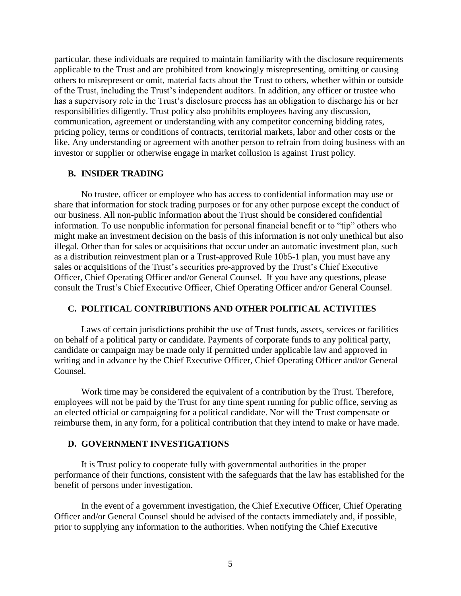particular, these individuals are required to maintain familiarity with the disclosure requirements applicable to the Trust and are prohibited from knowingly misrepresenting, omitting or causing others to misrepresent or omit, material facts about the Trust to others, whether within or outside of the Trust, including the Trust's independent auditors. In addition, any officer or trustee who has a supervisory role in the Trust's disclosure process has an obligation to discharge his or her responsibilities diligently. Trust policy also prohibits employees having any discussion, communication, agreement or understanding with any competitor concerning bidding rates, pricing policy, terms or conditions of contracts, territorial markets, labor and other costs or the like. Any understanding or agreement with another person to refrain from doing business with an investor or supplier or otherwise engage in market collusion is against Trust policy.

## **B. INSIDER TRADING**

No trustee, officer or employee who has access to confidential information may use or share that information for stock trading purposes or for any other purpose except the conduct of our business. All non-public information about the Trust should be considered confidential information. To use nonpublic information for personal financial benefit or to "tip" others who might make an investment decision on the basis of this information is not only unethical but also illegal. Other than for sales or acquisitions that occur under an automatic investment plan, such as a distribution reinvestment plan or a Trust-approved Rule 10b5-1 plan, you must have any sales or acquisitions of the Trust's securities pre-approved by the Trust's Chief Executive Officer, Chief Operating Officer and/or General Counsel. If you have any questions, please consult the Trust's Chief Executive Officer, Chief Operating Officer and/or General Counsel.

# **C. POLITICAL CONTRIBUTIONS AND OTHER POLITICAL ACTIVITIES**

Laws of certain jurisdictions prohibit the use of Trust funds, assets, services or facilities on behalf of a political party or candidate. Payments of corporate funds to any political party, candidate or campaign may be made only if permitted under applicable law and approved in writing and in advance by the Chief Executive Officer, Chief Operating Officer and/or General Counsel.

Work time may be considered the equivalent of a contribution by the Trust. Therefore, employees will not be paid by the Trust for any time spent running for public office, serving as an elected official or campaigning for a political candidate. Nor will the Trust compensate or reimburse them, in any form, for a political contribution that they intend to make or have made.

### **D. GOVERNMENT INVESTIGATIONS**

It is Trust policy to cooperate fully with governmental authorities in the proper performance of their functions, consistent with the safeguards that the law has established for the benefit of persons under investigation.

In the event of a government investigation, the Chief Executive Officer, Chief Operating Officer and/or General Counsel should be advised of the contacts immediately and, if possible, prior to supplying any information to the authorities. When notifying the Chief Executive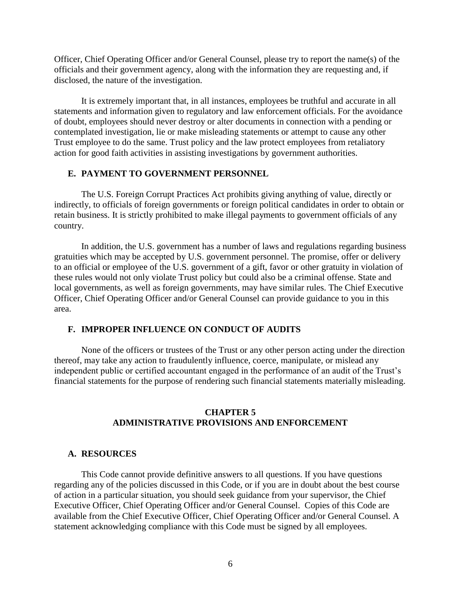Officer, Chief Operating Officer and/or General Counsel, please try to report the name(s) of the officials and their government agency, along with the information they are requesting and, if disclosed, the nature of the investigation.

It is extremely important that, in all instances, employees be truthful and accurate in all statements and information given to regulatory and law enforcement officials. For the avoidance of doubt, employees should never destroy or alter documents in connection with a pending or contemplated investigation, lie or make misleading statements or attempt to cause any other Trust employee to do the same. Trust policy and the law protect employees from retaliatory action for good faith activities in assisting investigations by government authorities.

# **E. PAYMENT TO GOVERNMENT PERSONNEL**

The U.S. Foreign Corrupt Practices Act prohibits giving anything of value, directly or indirectly, to officials of foreign governments or foreign political candidates in order to obtain or retain business. It is strictly prohibited to make illegal payments to government officials of any country.

In addition, the U.S. government has a number of laws and regulations regarding business gratuities which may be accepted by U.S. government personnel. The promise, offer or delivery to an official or employee of the U.S. government of a gift, favor or other gratuity in violation of these rules would not only violate Trust policy but could also be a criminal offense. State and local governments, as well as foreign governments, may have similar rules. The Chief Executive Officer, Chief Operating Officer and/or General Counsel can provide guidance to you in this area.

# **F. IMPROPER INFLUENCE ON CONDUCT OF AUDITS**

None of the officers or trustees of the Trust or any other person acting under the direction thereof, may take any action to fraudulently influence, coerce, manipulate, or mislead any independent public or certified accountant engaged in the performance of an audit of the Trust's financial statements for the purpose of rendering such financial statements materially misleading.

# **CHAPTER 5 ADMINISTRATIVE PROVISIONS AND ENFORCEMENT**

#### **A. RESOURCES**

This Code cannot provide definitive answers to all questions. If you have questions regarding any of the policies discussed in this Code, or if you are in doubt about the best course of action in a particular situation, you should seek guidance from your supervisor, the Chief Executive Officer, Chief Operating Officer and/or General Counsel. Copies of this Code are available from the Chief Executive Officer, Chief Operating Officer and/or General Counsel. A statement acknowledging compliance with this Code must be signed by all employees.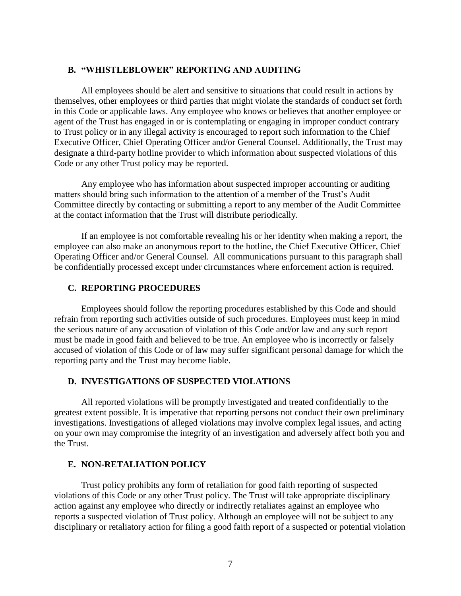#### **B. "WHISTLEBLOWER" REPORTING AND AUDITING**

All employees should be alert and sensitive to situations that could result in actions by themselves, other employees or third parties that might violate the standards of conduct set forth in this Code or applicable laws. Any employee who knows or believes that another employee or agent of the Trust has engaged in or is contemplating or engaging in improper conduct contrary to Trust policy or in any illegal activity is encouraged to report such information to the Chief Executive Officer, Chief Operating Officer and/or General Counsel. Additionally, the Trust may designate a third-party hotline provider to which information about suspected violations of this Code or any other Trust policy may be reported.

Any employee who has information about suspected improper accounting or auditing matters should bring such information to the attention of a member of the Trust's Audit Committee directly by contacting or submitting a report to any member of the Audit Committee at the contact information that the Trust will distribute periodically.

If an employee is not comfortable revealing his or her identity when making a report, the employee can also make an anonymous report to the hotline, the Chief Executive Officer, Chief Operating Officer and/or General Counsel. All communications pursuant to this paragraph shall be confidentially processed except under circumstances where enforcement action is required.

### **C. REPORTING PROCEDURES**

Employees should follow the reporting procedures established by this Code and should refrain from reporting such activities outside of such procedures. Employees must keep in mind the serious nature of any accusation of violation of this Code and/or law and any such report must be made in good faith and believed to be true. An employee who is incorrectly or falsely accused of violation of this Code or of law may suffer significant personal damage for which the reporting party and the Trust may become liable.

# **D. INVESTIGATIONS OF SUSPECTED VIOLATIONS**

All reported violations will be promptly investigated and treated confidentially to the greatest extent possible. It is imperative that reporting persons not conduct their own preliminary investigations. Investigations of alleged violations may involve complex legal issues, and acting on your own may compromise the integrity of an investigation and adversely affect both you and the Trust.

# **E. NON-RETALIATION POLICY**

Trust policy prohibits any form of retaliation for good faith reporting of suspected violations of this Code or any other Trust policy. The Trust will take appropriate disciplinary action against any employee who directly or indirectly retaliates against an employee who reports a suspected violation of Trust policy. Although an employee will not be subject to any disciplinary or retaliatory action for filing a good faith report of a suspected or potential violation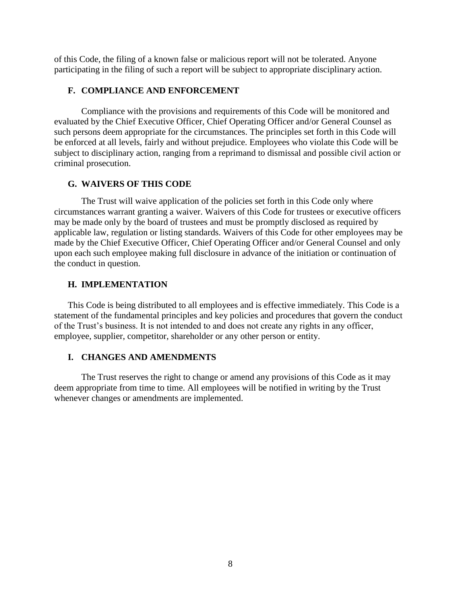of this Code, the filing of a known false or malicious report will not be tolerated. Anyone participating in the filing of such a report will be subject to appropriate disciplinary action.

# **F. COMPLIANCE AND ENFORCEMENT**

Compliance with the provisions and requirements of this Code will be monitored and evaluated by the Chief Executive Officer, Chief Operating Officer and/or General Counsel as such persons deem appropriate for the circumstances. The principles set forth in this Code will be enforced at all levels, fairly and without prejudice. Employees who violate this Code will be subject to disciplinary action, ranging from a reprimand to dismissal and possible civil action or criminal prosecution.

# **G. WAIVERS OF THIS CODE**

The Trust will waive application of the policies set forth in this Code only where circumstances warrant granting a waiver. Waivers of this Code for trustees or executive officers may be made only by the board of trustees and must be promptly disclosed as required by applicable law, regulation or listing standards. Waivers of this Code for other employees may be made by the Chief Executive Officer, Chief Operating Officer and/or General Counsel and only upon each such employee making full disclosure in advance of the initiation or continuation of the conduct in question.

# **H. IMPLEMENTATION**

This Code is being distributed to all employees and is effective immediately. This Code is a statement of the fundamental principles and key policies and procedures that govern the conduct of the Trust's business. It is not intended to and does not create any rights in any officer, employee, supplier, competitor, shareholder or any other person or entity.

# **I. CHANGES AND AMENDMENTS**

The Trust reserves the right to change or amend any provisions of this Code as it may deem appropriate from time to time. All employees will be notified in writing by the Trust whenever changes or amendments are implemented.